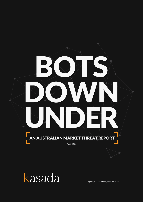



Copyright © Kasada Pty Limited 2019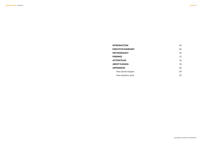**Bots Down Under / Contents** 

INTRODUCTION 04 EXECUTIVE SUMMARY 06 METHODOLOGY 10 FINDINGS 12 ACTION PLAN 16 ABOUT KASADA 18 APPENDICES 20 How attacks happen 20 How attackers work 22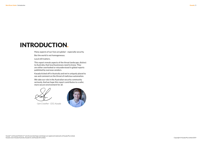Kasada / 5

## INTRODUCTION.

Many aspects of our lives are global – especially security.

But the world is not homogeneous.

Local still matters.

This report reveals aspects of the threat landscape, distinct to Australia, that local businesses need to know. They are either overlooked or misunderstood in global reports published by overseas vendors.

Kasada kicked off in Australia and we're uniquely placed to see and comment on the threat of malicious automation.

We take our role in the Australian security community seriously. And we hope this report contributes to a safer, more secure environment for all.

 *- Sam Crowther - CEO, Kasada*

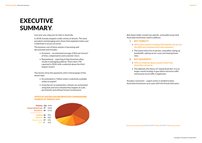## EXECUTIVE SUMMARY.

Last year was a big year for bots in Australia.

In 2018, Kasada stopped a wide variety of attacks. The most prevalent and damaging were those that exploited stolen user credentials to access accounts.

The business cost of these attacks is becoming well documented and includes:

- Economic an estimated average of  $$2m$  per breach<sup>1</sup> of time, compensation and customer churn.
- Reputational reporting of data breaches often results in damaging publicity. There were 749 reported in 2018, with credential abuse the third largest reason<sup>2</sup>.

Two factors drive the popularity with criminal gangs of this attack type:

- An estimated 6.7 billion stolen credentials available online to exploit<sup>3</sup>.
- A low barrier to exploitation. Attacks are automated using bots and once initiated they happen at scale, persistently and without human involvement.

#### OFFICE OF AUSTRALIAN INFORMATION COMMISSIONER SOURCES OF THREATS 2018



*Bots Down Under* reveals two specific, actionable issues that Australian businesses need to address:

#### • **90% of the country's leading 250 websites do not see the difference between bots and customers.**

• This leaves bots free to persist, unassailed, eating up bandwidth, spiking server costs and slowing down

- 1. BOT VISIBILITY
- 
- sites.
- 2. BOT GEOGRAPHY
	- **Australian networks**.
	- and assume local traffic is legitimate.

### • **90% of credential abuse attacks come from**

• This debunks the theory of "Island Australia". It is no longer sound strategy to geo-block overseas traffic

Kasada's conclusion – urgent action is needed to keep Australian businesses up to pace with the threats bots pose.

1 [Cost of a Data Breach Study](https://www.ibm.com/security/data-breach), Ponemon, 2018 | 2 [OAIC](https://www.oaic.gov.au/privacy-law/privacy-act/notifiable-data-breaches-scheme/quarterly-statistics-reports/notifiable-data-breaches-quarterly-statistics-report-1-october-31-december-2018), Dec 2018 | 3 [Have I been pwned?](https://haveibeenpwned.com/)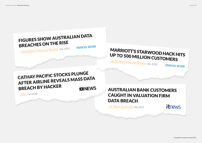Copyright © Kasada Pty Limited 2019

Kasada / 9

**FINANCIAL REVIEW** 

### **itnews**

# FIGURES SHOW AUSTRALIAN DATA BREACHES ON THE RISE

### CATHAY PACIFIC STOCKS PLUNGE AFTER AIRLINE REVEALS MASS DATA BREACH BY HACKER **KY NEWS**

*- Australian [Financial Review](https://www.afr.com/technology/figures-show-australian-data-breaches-on-the-rise-20190207-h1ayug) Feb, 2019*

**FINANCIAL REVIEW** 

# MARRIOTT'S STARWOOD HACK HITS UP TO 500 MILLION CUSTOMERS

*[- Australian Financial Review](https://www.afr.com/real-estate/commercial/hotels-and-leisure/marriotts-starwood-hack-hits-up-to-500-mln-customers-20181201-h18lby) Dec, 2018*

*- ABC [Oct, 2018](https://www.abc.net.au/news/2018-10-25/cathay-pacific-data-breach-affects-9.4-million-customers/10429878)*

AUSTRALIAN BANK CUSTOMERS CAUGHT IN VALUATION FIRM DATA BREACH

*[- IT News Australia](https://www.itnews.com.au/news/bank-customers-caught-in-valuation-firm-data-breach-519204) Feb, 2019*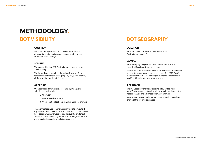

What percentage of Australia's leading websites can differentiate between browsers (people) and scripts or automation tools (bots)?

#### SAMPLE

We assessed the top 250 Australian websites, based on Alexa ranking.

We focused our research on the industries most often targeted by bot attacks: retail, property, wagering, finance, airlines, utilities and health insurance.

#### APPROACH

We used three different tools to load a login page and submit test credentials:

- 1. A browser.
- 2. A script curl or Node.js.
- 3. An automation tool Selenium or headless browser.

These three tests use common, benign tools to simulate the capability of the common credential abuse tools. This allowed us to assess whether a website could prevent a credential abuse tool from submitting requests. At no stage did we use a malicious tool or send any malicious requests.

# METHODOLOGY.

### BOT VISIBILITY

#### **QUESTION**

How are credential abuse attacks delivered to Australian companies?

#### SAMPLE

We thoroughly analysed every credential abuse attack targeting Kasada customers last year.

In total we captured data of more than 100 attacks. Credential abuse attacks are an emerging attack type. The 2018 OAIC statistics included 34 incidences; so this sample represents a significant insight into a growing problem.

### APPROACH

We evaluated key characteristics including: attack tool identification, proxy network analysis, attack thresholds, http header analysis and advanced telemetry analysis.

We mapped the geography, network owner and connectivity profile of the proxy ip addresses.

### BOT GEOGRAPHY

#### **OUESTION**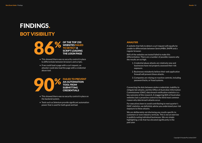- This showed there was no security control in place on the backend system.
- Tools such as Selenium provide significant automation power that is used for both good and bad.
- This showed there was no security control in place to differentiate between browsers and scripts.
- If we could load a page with a curl request, an attacker could also load the page with a credential abuse tool.

FAILED TO PREVENT AN AUTOMATION TOOL FROM SUBMITTING **CREDENTIALS** 

# FINDINGS. BOT VISIBILITY



### ANALYSIS

A website that fails to detect a curl request will equally be unable to differentiate between SentryMBA, SNIPR and a regular browser.

86% of the websites we tested failed to make this differentiation. There are a number of possible reasons why the results are so high.

> 1. Credential abuse attacks are relatively new and businesses have not properly assessed their risk

2. Businesses mistakenly believe their web application

- exposure.
- firewall will prevent these attacks.
- password locks, or fraud systems.

3. Companies are relying on reactive controls, including

Connecting the dots between stolen credentials, inability to mitigate bot attacks, and the Office of Australian Information Commissioner (OAIC) data breach notification statistics is a key outcome of this research. A staggering 86% of Australian websites lack a proactive control to the third most common reason why data breach attacks occur.

For executives keen to avoid contributing to next quarter's OAIC statistics, we definitely advise you understand your risk exposure to these attacks.

We are deliberately not disclosing any results specific to customers or even industry verticals. This is not an exercise in publicly outing individual businesses. We are simply highlighting a risk that has elevated significantly in the past year.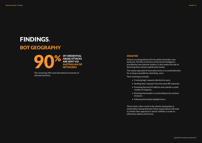The remaining 10% used international networks of infected machines.

## FINDINGS. BOT GEOGRAPHY



#### ANALYSIS

Attacks are being delivered from within Australia's own backyard. This flies in the face of the threat intelligence provided by international vendors. It also makes the task of detecting these attacks significantly harder.

The modus operandi of most adversaries is to avoid detection for as long as possible by mimicking users.

Their techniques include:

• Sending their requests from the same ISP networks.

• Knowing that each IP address only submits a small

- Creating login requests identical to users.
- 
- number of requests.
- browsers.
- Following Australian daylight hours.

• Rotating http headers or pretending to be common

These tactics often result in the attacks lasting days or weeks before being detected. Many organisations will need to rethink their approach to attack visibility, in order to effectively address this threat.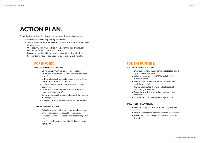# ACTION PLAN.

### FOR INFOSEC:

#### **ASK THESE HARD QUESTIONS:**

- Do we actively monitor failed login requests?
- Do we actively monitor account locks and password resets?
- Is there a feedback loop between infosec and the call centre to report on account locks?
- Do we actively monitor how often an account is logged into?
- Do we actively monitor how often an IP address submits a login request?
- Do we understand the expected request flow pattern of the login process?
- Are we monitoring for deviations from this pattern?

#### **TAKE THESE PRECAUTIONS:**

- Only allow browsers to access your web login page.
- Enforce adherence to request flow patterns.
- Take actions to alter the economics of attacking your site.
- Visualise the human versus bot activity against your login paths.

Defeating the credential challenge requires a multi-pronged approach.

- Individuals need to stop reusing passwords.
- Security versus user experience impact of multi-factor solutions needs to be assessed.
- Web security industry needs to evolve, with the help of innovative startups, to defeat fraudulent bot attacks.
- Businesses need to address the risks associated with bot attacks.
- Security teams need to add a dimension to their attack visibility.

### FOR THE BUSINESS:

#### **ASK THESE HARD QUESTIONS:**

• Do we understand the potential impact of an attack • What personal user data (PII) is available in a

• Does the portal allow for the extraction of funds or

- against a customer portal?
- customer portal?
- anything of value?
- responding to a breach?
- accounts?
- 

• Have we calculated the hard and soft costs of

• Do we have visibility of the health of our portal

• Can our infosec team report on login activity?

#### **TAKE THESE PRECAUTIONS:**

• Establish a regular cadence of reporting on these

- issues.
- 
- tested.

• Ensure the necessary security controls are in place. • Have a data breach response plan established and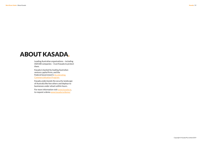Kasada / 19

## ABOUT KASADA.

Leading Australian organisations – including ASX100 companies – trust Kasada to protect them.

Kasada is backed by leading Australian venture capital firms, and the Federal Government's **Accelerating** [Commercialisation Program.](https://www.business.gov.au/assistance/entrepreneurs-programme/accelerating-commercialisation)

For more information visit [www.kasada.io,](http://www.kasada.io) to request a demo [www.kasada.io/demo/](https://www.kasada.io/demo/)

Kasada understands the security landscape of Australia like few others and deploys to businesses under attack within hours.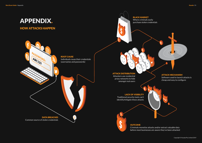1

3

6

7

 $\overline{\text{A}}$ 

5

# APPENDIX.

# HOW ATTACKS HAPPEN

PASSWORD:

### ROOT CAUSE



Individuals reuse their credentials (usernames and passwords)



BLACK MARKET

Where criminals easily purchase stolen credentials

LACK OF VISIBILITY

Traditional security tools can't identify/mitigate these attacks

ATTACK DISTRIBUTION

Attackers use residential proxy networks to hide amongst real users



Criminals monetise attacks and/or extract valuable data before most businesses are aware they've been attacked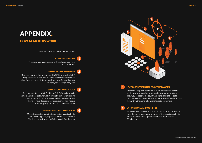Attackers typically follow these six steps:



### OBTAIN THE DATA SET

These are usernames/passwords easily sourced from data breaches.

### ASSESS THE ENVIRONMENT

Most primary websites are targeted in 95%+ of attacks. Why? They're easiest to find and it's simple to extract the request data from a browser. Attackers will only look for another way in if they fail at the primary site.

### SELECT YOUR ATTACK TOOL

Tools such as SentryMBA, SNIPR or Cr3d0c3r make attacks simple and cheap to launch. They typically come with existing configurations, Youtube tutorials and online user forums. They also have deceptive features, such as http header rotation, proxy rotation, and captcha evasion.

> LAUNCH SIMULTANEOUS ATTACKS Most attack patterns point to campaign-based activity.

And they're typically organised by industry or sector. This increases attackers' efficiency and effectiveness.

### HOW ATTACKERS WORK

## APPENDIX.

1

2

3

### 4

Attackers use proxy networks to distribute attack load and mask their true location. Most modern proxy networks will allow you to specify the country and the class of IP – data centre, domestic ISP or mobile carrier IP. This allows attacks to hide within the same ISPs as the target's customers.

#### LEVERAGE RESIDENTIAL PROXY NETWORKS 5

In many cases, data extraction occurs without any resistance from the target as they are unaware of the nefarious activity. Where monetisation is possible, this can occur within 60 minutes.

#### EXTRACT DATA AND MONETISE 6